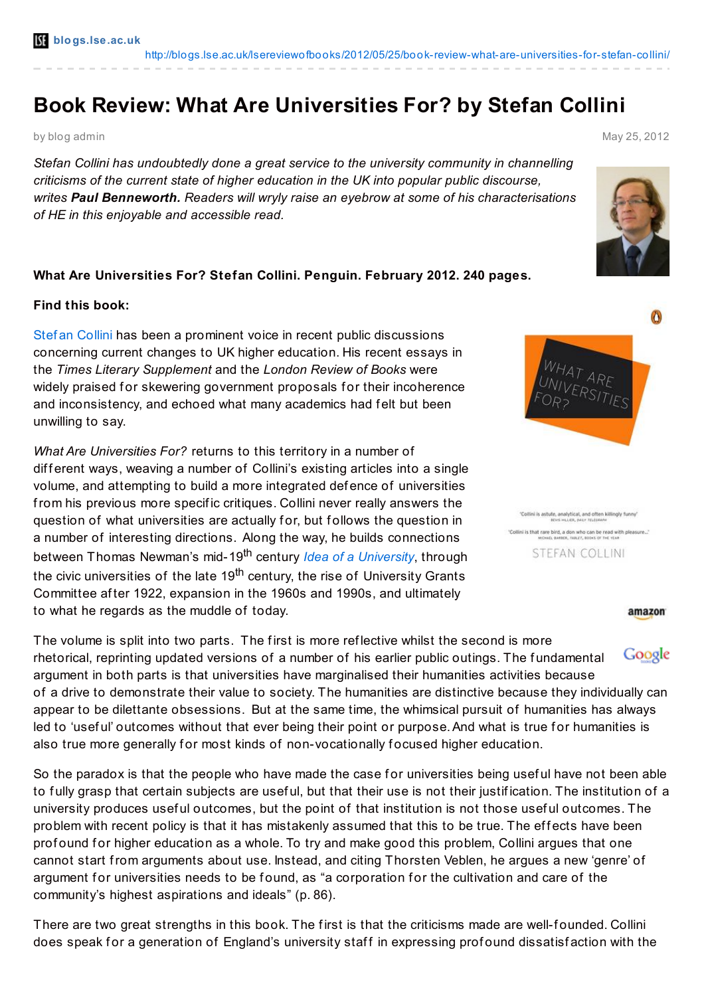# **Book Review: What Are Universities For? by Stefan Collini**

by blog admin May 25, 2012

*Stefan Collini has undoubtedly done a great service to the university community in channelling criticisms of the current state of higher education in the UK into popular public discourse, writes Paul Benneworth. Readers will wryly raise an eyebrow at some of his characterisations of HE in this enjoyable and accessible read.*

# **What Are Universities For? Stefan Collini. Penguin. February 2012. 240 pages.**

### **Find this book:**

Stef an [Collini](http://www.english.cam.ac.uk/people/Collini/Stefan/) has been a prominent voice in recent public discussions concerning current changes to UK higher education. His recent essays in the *Times Literary Supplement* and the *London Review of Books* were widely praised for skewering government proposals for their incoherence and inconsistency, and echoed what many academics had felt but been unwilling to say.

*What Are Universities For?* returns to this territory in a number of different ways, weaving a number of Collini's existing articles into a single volume, and attempting to build a more integrated def ence of universities from his previous more specif ic critiques. Collini never really answers the question of what universities are actually for, but follows the question in a number of interesting directions. Along the way, he builds connections between Thomas Newman's mid-19 th century *Idea of a [University](http://www.newmanreader.org/works/idea/)*, through the civic universities of the late 19<sup>th</sup> century, the rise of University Grants Committee af ter 1922, expansion in the 1960s and 1990s, and ultimately to what he regards as the muddle of today.

The volume is split into two parts. The first is more reflective whilst the second is more Google rhetorical, reprinting updated versions of a number of his earlier public outings. The fundamental argument in both parts is that universities have marginalised their humanities activities because of a drive to demonstrate their value to society. The humanities are distinctive because they individually can appear to be dilettante obsessions. But at the same time, the whimsical pursuit of humanities has always led to 'useful' outcomes without that ever being their point or purpose. And what is true for humanities is also true more generally for most kinds of non-vocationally focused higher education.

So the paradox is that the people who have made the case for universities being useful have not been able to fully grasp that certain subjects are useful, but that their use is not their justification. The institution of a university produces useful outcomes, but the point of that institution is not those useful outcomes. The problem with recent policy is that it has mistakenly assumed that this to be true. The effects have been prof ound for higher education as a whole. To try and make good this problem, Collini argues that one cannot start from arguments about use. Instead, and citing Thorsten Veblen, he argues a new 'genre' of argument for universities needs to be found, as "a corporation for the cultivation and care of the community's highest aspirations and ideals" (p. 86).

There are two great strengths in this book. The first is that the criticisms made are well-founded. Collini does speak for a generation of England's university staff in expressing profound dissatisfaction with the





'Collini is astute, analytical, and often killingly fur-"Collini is that rare bird, a don who can be read with pleasure..."<br>NONEL BARRE, MALLET, BOOKS OF THE YEAR **STEFAN COLLINI** 

#### amazon